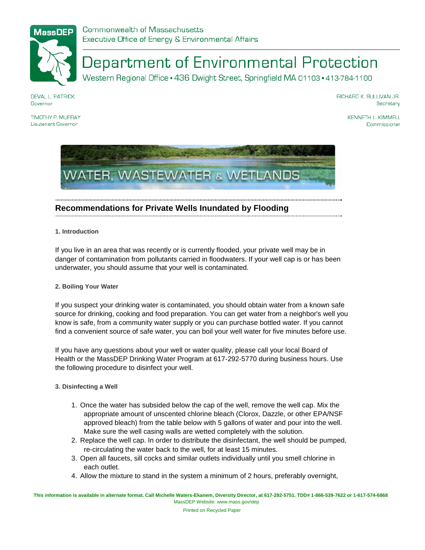

# Department of Environmental Protection

Western Regional Office · 436 Dwight Street, Springfield MA 01103 · 413-784-1100

**DEVAL L. PATRICK** Governor

RICHARD K. SULLIVAN JR. Secretary

TIMOTHY P MI IRRAY Lieutenant Governor

KENNETH L. KIMMELL Commissioner



## **Recommendations for Private Wells Inundated by Flooding**

**1. Introduction**

If you live in an area that was recently or is currently flooded, your private well may be in danger of contamination from pollutants carried in floodwaters. If your well cap is or has been underwater, you should assume that your well is contaminated.

### **2. Boiling Your Water**

If you suspect your drinking water is contaminated, you should obtain water from a known safe source for drinking, cooking and food preparation. You can get water from a neighbor's well you know is safe, from a community water supply or you can purchase bottled water. If you cannot find a convenient source of safe water, you can boil your well water for five minutes before use.

If you have any questions about your well or water quality, please call your local Board of Health or the MassDEP Drinking Water Program at 617-292-5770 during business hours. Use the following procedure to disinfect your well.

### **3. Disinfecting a Well**

- 1. Once the water has subsided below the cap of the well, remove the well cap. Mix the appropriate amount of unscented chlorine bleach (Clorox, Dazzle, or other EPA/NSF approved bleach) from the table below with 5 gallons of water and pour into the well. Make sure the well casing walls are wetted completely with the solution.
- 2. Replace the well cap. In order to distribute the disinfectant, the well should be pumped, re-circulating the water back to the well, for at least 15 minutes.
- 3. Open all faucets, sill cocks and similar outlets individually until you smell chlorine in each outlet.
- 4. Allow the mixture to stand in the system a minimum of 2 hours, preferably overnight,